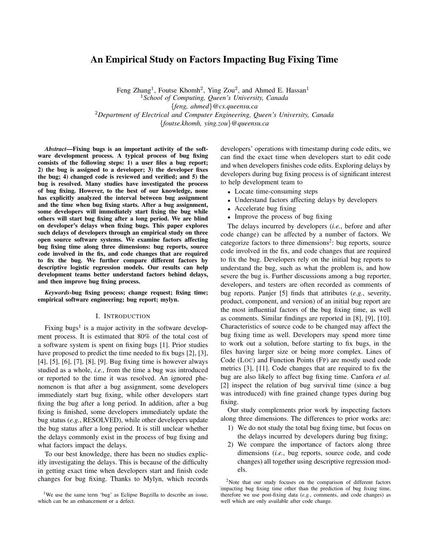# An Empirical Study on Factors Impacting Bug Fixing Time

Feng Zhang<sup>1</sup>, Foutse Khomh<sup>2</sup>, Ying Zou<sup>2</sup>, and Ahmed E. Hassan<sup>1</sup> <sup>1</sup>*School of Computing, Queen's University, Canada* {*feng, ahmed*}*@cs.queensu.ca* <sup>2</sup>*Department of Electrical and Computer Engineering, Queen's University, Canada* {*foutse.khomh, ying.zou*}*@queensu.ca*

*Abstract*—Fixing bugs is an important activity of the software development process. A typical process of bug fixing consists of the following steps: 1) a user files a bug report; 2) the bug is assigned to a developer; 3) the developer fixes the bug; 4) changed code is reviewed and verified; and 5) the bug is resolved. Many studies have investigated the process of bug fixing. However, to the best of our knowledge, none has explicitly analyzed the interval between bug assignment and the time when bug fixing starts. After a bug assignment, some developers will immediately start fixing the bug while others will start bug fixing after a long period. We are blind on developer's delays when fixing bugs. This paper explores such delays of developers through an empirical study on three open source software systems. We examine factors affecting bug fixing time along three dimensions: bug reports, source code involved in the fix, and code changes that are required to fix the bug. We further compare different factors by descriptive logistic regression models. Our results can help development teams better understand factors behind delays, and then improve bug fixing process.

*Keywords*-bug fixing process; change request; fixing time; empirical software engineering; bug report; mylyn.

#### I. INTRODUCTION

Fixing bugs<sup>1</sup> is a major activity in the software development process. It is estimated that 80% of the total cost of a software system is spent on fixing bugs [1]. Prior studies have proposed to predict the time needed to fix bugs [2], [3], [4], [5], [6], [7], [8], [9]. Bug fixing time is however always studied as a whole, *i.e.*, from the time a bug was introduced or reported to the time it was resolved. An ignored phenomenon is that after a bug assignment, some developers immediately start bug fixing, while other developers start fixing the bug after a long period. In addition, after a bug fixing is finished, some developers immediately update the bug status (*e.g.*, RESOLVED), while other developers update the bug status after a long period. It is still unclear whether the delays commonly exist in the process of bug fixing and what factors impact the delays.

To our best knowledge, there has been no studies explicitly investigating the delays. This is because of the difficulty in getting exact time when developers start and finish code changes for bug fixing. Thanks to Mylyn, which records

<sup>1</sup>We use the same term 'bug' as Eclipse Bugzilla to describe an issue, which can be an enhancement or a defect.

developers' operations with timestamp during code edits, we can find the exact time when developers start to edit code and when developers finishes code edits. Exploring delays by developers during bug fixing process is of significant interest to help development team to

- Locate time-consuming steps
- Understand factors affecting delays by developers
- Accelerate bug fixing
- Improve the process of bug fixing

The delays incurred by developers (*i.e.*, before and after code change) can be affected by a number of factors. We categorize factors to three dimensions<sup>2</sup>: bug reports, source code involved in the fix, and code changes that are required to fix the bug. Developers rely on the initial bug reports to understand the bug, such as what the problem is, and how severe the bug is. Further discussions among a bug reporter, developers, and testers are often recorded as comments of bug reports. Panjer [5] finds that attributes (*e.g.*, severity, product, component, and version) of an initial bug report are the most influential factors of the bug fixing time, as well as comments. Similar findings are reported in [8], [9], [10]. Characteristics of source code to be changed may affect the bug fixing time as well. Developers may spend more time to work out a solution, before starting to fix bugs, in the files having larger size or being more complex. Lines of Code (LOC) and Function Points (FP) are mostly used code metrics [3], [11]. Code changes that are required to fix the bug are also likely to affect bug fixing time. Canfora *et al.* [2] inspect the relation of bug survival time (since a bug was introduced) with fine grained change types during bug fixing.

Our study complements prior work by inspecting factors along three dimensions. The differences to prior works are:

- 1) We do not study the total bug fixing time, but focus on the delays incurred by developers during bug fixing;
- 2) We compare the importance of factors along three dimensions (*i.e.*, bug reports, source code, and code changes) all together using descriptive regression models.

<sup>2</sup>Note that our study focuses on the comparison of different factors impacting bug fixing time other than the prediction of bug fixing time, therefore we use post-fixing data (*e.g.*, comments, and code changes) as well which are only available after code change.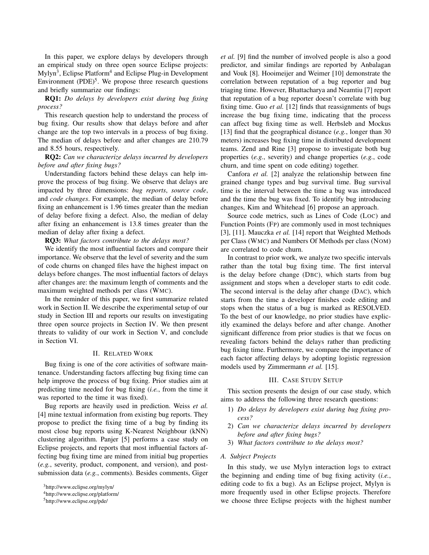In this paper, we explore delays by developers through an empirical study on three open source Eclipse projects: Mylyn<sup>3</sup>, Eclipse Platform<sup>4</sup> and Eclipse Plug-in Development Environment  $(PDE)^5$ . We propose three research questions and briefly summarize our findings:

RQ1: *Do delays by developers exist during bug fixing process?*

This research question help to understand the process of bug fixing. Our results show that delays before and after change are the top two intervals in a process of bug fixing. The median of delays before and after changes are 210.79 and 8.55 hours, respectively.

RQ2: *Can we characterize delays incurred by developers before and after fixing bugs?*

Understanding factors behind these delays can help improve the process of bug fixing. We observe that delays are impacted by three dimensions: *bug reports*, *source code*, and *code changes*. For example, the median of delay before fixing an enhancement is 1.96 times greater than the median of delay before fixing a defect. Also, the median of delay after fixing an enhancement is 13.8 times greater than the median of delay after fixing a defect.

RQ3: *What factors contribute to the delays most?*

We identify the most influential factors and compare their importance. We observe that the level of severity and the sum of code churns on changed files have the highest impact on delays before changes. The most influential factors of delays after changes are: the maximum length of comments and the maximum weighted methods per class (WMC).

In the reminder of this paper, we first summarize related work in Section II. We describe the experimental setup of our study in Section III and reports our results on investigating three open source projects in Section IV. We then present threats to validity of our work in Section V, and conclude in Section VI.

#### II. RELATED WORK

Bug fixing is one of the core activities of software maintenance. Understanding factors affecting bug fixing time can help improve the process of bug fixing. Prior studies aim at predicting time needed for bug fixing (*i.e.*, from the time it was reported to the time it was fixed).

Bug reports are heavily used in prediction. Weiss *et al.* [4] mine textual information from existing bug reports. They propose to predict the fixing time of a bug by finding its most close bug reports using K-Nearest Neighbour (kNN) clustering algorithm. Panjer [5] performs a case study on Eclipse projects, and reports that most influential factors affecting bug fixing time are mined from initial bug properties (*e.g.*, severity, product, component, and version), and postsubmission data (*e.g.*, comments). Besides comments, Giger *et al.* [9] find the number of involved people is also a good predictor, and similar findings are reported by Anbalagan and Vouk [8]. Hooimeijer and Weimer [10] demonstrate the correlation between reputation of a bug reporter and bug triaging time. However, Bhattacharya and Neamtiu [7] report that reputation of a bug reporter doesn't correlate with bug fixing time. Guo *et al.* [12] finds that reassignments of bugs increase the bug fixing time, indicating that the process can affect bug fixing time as well. Herbsleb and Mockus [13] find that the geographical distance (*e.g.*, longer than 30 meters) increases bug fixing time in distributed development teams. Zend and Rine [3] propose to investigate both bug properties (*e.g.*, severity) and change properties (*e.g.*, code churn, and time spent on code editing) together.

Canfora *et al.* [2] analyze the relationship between fine grained change types and bug survival time. Bug survival time is the interval between the time a bug was introduced and the time the bug was fixed. To identify bug introducing changes, Kim and Whitehead [6] propose an approach.

Source code metrics, such as Lines of Code (LOC) and Function Points (FP) are commonly used in most techniques [3], [11]. Mauczka *et al.* [14] report that Weighted Methods per Class (WMC) and Numbers Of Methods per class (NOM) are correlated to code churn.

In contrast to prior work, we analyze two specific intervals rather than the total bug fixing time. The first interval is the delay before change (DBC), which starts from bug assignment and stops when a developer starts to edit code. The second interval is the delay after change (DAC), which starts from the time a developer finishes code editing and stops when the status of a bug is marked as RESOLVED. To the best of our knowledge, no prior studies have explicitly examined the delays before and after change. Another significant difference from prior studies is that we focus on revealing factors behind the delays rather than predicting bug fixing time. Furthermore, we compare the importance of each factor affecting delays by adopting logistic regression models used by Zimmermann *et al.* [15].

#### III. CASE STUDY SETUP

This section presents the design of our case study, which aims to address the following three research questions:

- 1) *Do delays by developers exist during bug fixing process?*
- 2) *Can we characterize delays incurred by developers before and after fixing bugs?*
- 3) *What factors contribute to the delays most?*

#### *A. Subject Projects*

In this study, we use Mylyn interaction logs to extract the beginning and ending time of bug fixing activity (*i.e.*, editing code to fix a bug). As an Eclipse project, Mylyn is more frequently used in other Eclipse projects. Therefore we choose three Eclipse projects with the highest number

<sup>3</sup>http://www.eclipse.org/mylyn/

<sup>4</sup>http://www.eclipse.org/platform/

<sup>5</sup>http://www.eclipse.org/pde/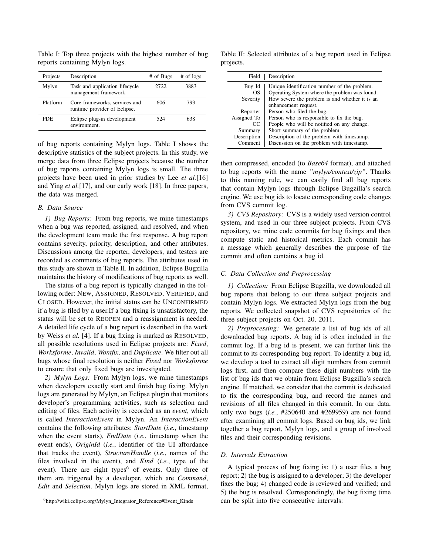reports containing Mylyn logs. Projects Description # of Bugs # of logs

Table I: Top three projects with the highest number of bug

| <b>FIVICUS</b> | Description                                                   | $#$ 01 Dugs | $#$ 01 1028 |
|----------------|---------------------------------------------------------------|-------------|-------------|
| Mylyn          | Task and application lifecycle<br>management framework.       | 2722        | 3883        |
| Platform       | Core frameworks, services and<br>runtime provider of Eclipse. | 606         | 793         |
| <b>PDE</b>     | Eclipse plug-in development<br>environment.                   | 524         | 638         |

of bug reports containing Mylyn logs. Table I shows the descriptive statistics of the subject projects. In this study, we merge data from three Eclipse projects because the number of bug reports containing Mylyn logs is small. The three projects have been used in prior studies by Lee *et al.*[16] and Ying *et al.*[17], and our early work [18]. In three papers, the data was merged.

# *B. Data Source*

*1) Bug Reports:* From bug reports, we mine timestamps when a bug was reported, assigned, and resolved, and when the development team made the first response. A bug report contains severity, priority, description, and other attributes. Discussions among the reporter, developers, and testers are recorded as comments of bug reports. The attributes used in this study are shown in Table II. In addition, Eclipse Bugzilla maintains the history of modifications of bug reports as well.

The status of a bug report is typically changed in the following order: NEW, ASSIGNED, RESOLVED, VERIFIED, and CLOSED. However, the initial status can be UNCONFIRMED if a bug is filed by a user.If a bug fixing is unsatisfactory, the status will be set to REOPEN and a reassignment is needed. A detailed life cycle of a bug report is described in the work by Weiss *et al.* [4]. If a bug fixing is marked as RESOLVED, all possible resolutions used in Eclipse projects are: *Fixed*, *Worksforme*, *Invalid*, *Wontfix*, and *Duplicate*. We filter out all bugs whose final resolution is neither *Fixed* nor *Worksforme* to ensure that only fixed bugs are investigated.

*2) Mylyn Logs:* From Mylyn logs, we mine timestamps when developers exactly start and finish bug fixing. Mylyn logs are generated by Mylyn, an Eclipse plugin that monitors developer's programming activities, such as selection and editing of files. Each activity is recorded as an *event*, which is called *InteractionEvent* in Mylyn. An *InteractionEvent* contains the following attributes: *StartDate* (*i.e.*, timestamp when the event starts), *EndDate* (*i.e.*, timestamp when the event ends), *OriginId* (*i.e.*, identifier of the UI affordance that tracks the event), *StructureHandle* (*i.e.*, names of the files involved in the event), and *Kind* (*i.e.*, type of the event). There are eight types $<sup>6</sup>$  of events. Only three of</sup> them are triggered by a developer, which are *Command*, *Edit* and *Selection*. Mylyn logs are stored in XML format,

Table II: Selected attributes of a bug report used in Eclipse projects.

| Field                                                              | Description                                                                                                                                                                                                                                      |
|--------------------------------------------------------------------|--------------------------------------------------------------------------------------------------------------------------------------------------------------------------------------------------------------------------------------------------|
| Bug Id<br>OS.<br>Severity                                          | Unique identification number of the problem.<br>Operating System where the problem was found.<br>How severe the problem is and whether it is an<br>enhancement request.                                                                          |
| Reporter<br>Assigned To<br>CC<br>Summary<br>Description<br>Comment | Person who filed the bug.<br>Person who is responsible to fix the bug.<br>People who will be notified on any change.<br>Short summary of the problem.<br>Description of the problem with timestamp.<br>Discussion on the problem with timestamp. |

then compressed, encoded (to *Base64* format), and attached to bug reports with the name *"mylyn/context/zip"*. Thanks to this naming rule, we can easily find all bug reports that contain Mylyn logs through Eclipse Bugzilla's search engine. We use bug ids to locate corresponding code changes from CVS commit log.

*3) CVS Repository:* CVS is a widely used version control system, and used in our three subject projects. From CVS repository, we mine code commits for bug fixings and then compute static and historical metrics. Each commit has a message which generally describes the purpose of the commit and often contains a bug id.

## *C. Data Collection and Preprocessing*

*1) Collection:* From Eclipse Bugzilla, we downloaded all bug reports that belong to our three subject projects and contain Mylyn logs. We extracted Mylyn logs from the bug reports. We collected snapshot of CVS repositories of the three subject projects on Oct. 20, 2011.

*2) Preprocessing:* We generate a list of bug ids of all downloaded bug reports. A bug id is often included in the commit log. If a bug id is present, we can further link the commit to its corresponding bug report. To identify a bug id, we develop a tool to extract all digit numbers from commit logs first, and then compare these digit numbers with the list of bug ids that we obtain from Eclipse Bugzilla's search engine. If matched, we consider that the commit is dedicated to fix the corresponding bug, and record the names and revisions of all files changed in this commit. In our data, only two bugs (*i.e.*, #250640 and #269959) are not found after examining all commit logs. Based on bug ids, we link together a bug report, Mylyn logs, and a group of involved files and their corresponding revisions.

## *D. Intervals Extraction*

A typical process of bug fixing is: 1) a user files a bug report; 2) the bug is assigned to a developer; 3) the developer fixes the bug; 4) changed code is reviewed and verified; and 5) the bug is resolved. Correspondingly, the bug fixing time can be split into five consecutive intervals:

<sup>&</sup>lt;sup>6</sup>http://wiki.eclipse.org/Mylyn\_Integrator\_Reference#Event\_Kinds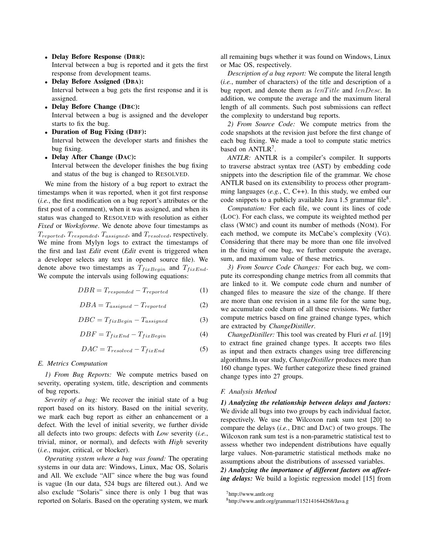- Delay Before Response (DBR): Interval between a bug is reported and it gets the first response from development teams.
- Delay Before Assigned (DBA): Interval between a bug gets the first response and it is assigned.
- Delay Before Change (DBC): Interval between a bug is assigned and the developer starts to fix the bug.
- Duration of Bug Fixing (DBF): Interval between the developer starts and finishes the bug fixing.
- Delay After Change (DAC):

Interval between the developer finishes the bug fixing and status of the bug is changed to RESOLVED.

We mine from the history of a bug report to extract the timestamps when it was reported, when it got first response (*i.e.*, the first modification on a bug report's attributes or the first post of a comment), when it was assigned, and when its status was changed to RESOLVED with resolution as either *Fixed* or *Worksforme*. We denote above four timestamps as  $T_{reported}, T_{responded}, T_{assigned},$  and  $T_{resolved}$ , respectively. We mine from Mylyn logs to extract the timestamps of the first and last *Edit* event (*Edit* event is triggered when a developer selects any text in opened source file). We denote above two timestamps as  $T_{fixBegin}$  and  $T_{fixEnd}$ . We compute the intervals using following equations:

 $DBR = T_{resonoded} - T_{resorted}$  (1)

$$
DBA = T_{assigned} - T_{reported}
$$
 (2)

$$
DBC = T_{fixBegin} - T_{assigned}
$$
 (3)

$$
DBF = T_{fixEnd} - T_{fixBegin} \tag{4}
$$

$$
DAC = T_{resolved} - T_{fixEnd} \tag{5}
$$

#### *E. Metrics Computation*

*1) From Bug Reports:* We compute metrics based on severity, operating system, title, description and comments of bug reports.

*Severity of a bug:* We recover the initial state of a bug report based on its history. Based on the initial severity, we mark each bug report as either an enhancement or a defect. With the level of initial severity, we further divide all defects into two groups: defects with *Low* severity (*i.e.*, trivial, minor, or normal), and defects with *High* severity (*i.e.*, major, critical, or blocker).

*Operating system where a bug was found:* The operating systems in our data are: Windows, Linux, Mac OS, Solaris and All. We exclude "All" since where the bug was found is vague (In our data, 524 bugs are filtered out.). And we also exclude "Solaris" since there is only 1 bug that was reported on Solaris. Based on the operating system, we mark all remaining bugs whether it was found on Windows, Linux or Mac OS, respectively.

*Description of a bug report:* We compute the literal length (*i.e.*, number of characters) of the title and description of a bug report, and denote them as  $lenTitle$  and  $lenDesc$ . In addition, we compute the average and the maximum literal length of all comments. Such post submissions can reflect the complexity to understand bug reports.

*2) From Source Code:* We compute metrics from the code snapshots at the revision just before the first change of each bug fixing. We made a tool to compute static metrics based on ANTLR<sup>7</sup>.

*ANTLR:* ANTLR is a compiler's compiler. It supports to traverse abstract syntax tree (AST) by embedding code snippets into the description file of the grammar. We chose ANTLR based on its extensibility to process other programming languages (*e.g.*, C, C++). In this study, we embed our code snippets to a publicly available Java 1.5 grammar file $8$ .

*Computation:* For each file, we count its lines of code (LOC). For each class, we compute its weighted method per class (WMC) and count its number of methods (NOM). For each method, we compute its McCabe's complexity (VG). Considering that there may be more than one file involved in the fixing of one bug, we further compute the average, sum, and maximum value of these metrics.

*3) From Source Code Changes:* For each bug, we compute its corresponding change metrics from all commits that are linked to it. We compute code churn and number of changed files to measure the size of the change. If there are more than one revision in a same file for the same bug, we accumulate code churn of all these revisions. We further compute metrics based on fine grained change types, which are extracted by *ChangeDistiller*.

*ChangeDistiller:* This tool was created by Fluri *et al.* [19] to extract fine grained change types. It accepts two files as input and then extracts changes using tree differencing algorithms.In our study, *ChangeDistiller* produces more than 160 change types. We further categorize these fined grained change types into 27 groups.

#### *F. Analysis Method*

*1) Analyzing the relationship between delays and factors:* We divide all bugs into two groups by each individual factor, respectively. We use the Wilcoxon rank sum test [20] to compare the delays (*i.e.*, DBC and DAC) of two groups. The Wilcoxon rank sum test is a non-parametric statistical test to assess whether two independent distributions have equally large values. Non-parametric statistical methods make no assumptions about the distributions of assessed variables.

*2) Analyzing the importance of different factors on affecting delays:* We build a logistic regression model [15] from

<sup>7</sup>http://www.antlr.org

<sup>8</sup>http://www.antlr.org/grammar/1152141644268/Java.g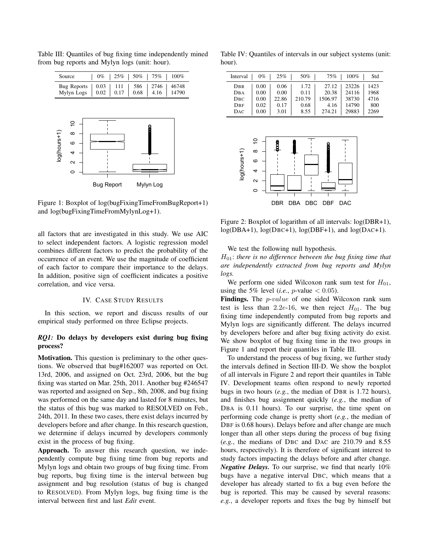

Table III: Quantiles of bug fixing time independently mined from bug reports and Mylyn logs (unit: hour).

Figure 1: Boxplot of log(bugFixingTimeFromBugReport+1) and log(bugFixingTimeFromMylynLog+1).

all factors that are investigated in this study. We use AIC to select independent factors. A logistic regression model combines different factors to predict the probability of the occurrence of an event. We use the magnitude of coefficient of each factor to compare their importance to the delays. In addition, positive sign of coefficient indicates a positive correlation, and vice versa.

# IV. CASE STUDY RESULTS

In this section, we report and discuss results of our empirical study performed on three Eclipse projects.

# *RQ1:* Do delays by developers exist during bug fixing process?

Motivation. This question is preliminary to the other questions. We observed that bug#162007 was reported on Oct. 13rd, 2006, and assigned on Oct. 23rd, 2006, but the bug fixing was started on Mar. 25th, 2011. Another bug #246547 was reported and assigned on Sep., 8th, 2008, and bug fixing was performed on the same day and lasted for 8 minutes, but the status of this bug was marked to RESOLVED on Feb., 24th, 2011. In these two cases, there exist delays incurred by developers before and after change. In this research question, we determine if delays incurred by developers commonly exist in the process of bug fixing.

Approach. To answer this research question, we independently compute bug fixing time from bug reports and Mylyn logs and obtain two groups of bug fixing time. From bug reports, bug fixing time is the interval between bug assignment and bug resolution (status of bug is changed to RESOLVED). From Mylyn logs, bug fixing time is the interval between first and last *Edit* event.

Table IV: Quantiles of intervals in our subject systems (unit: hour).

| Interval     | $0\%$ | 25%   | 50%    | 75%     | 100%  | Std  |
|--------------|-------|-------|--------|---------|-------|------|
| DBR          | 0.00  | 0.06  | 1.72   | 27.12   | 23226 | 1423 |
| DBA          | 0.00  | 0.00  | 0.11   | 20.38   | 24116 | 1968 |
| DBC          | 0.00  | 22.86 | 210.79 | 1506.97 | 38730 | 4716 |
| $_{\rm DBF}$ | 0.02  | 0.17  | 0.68   | 4.16    | 14790 | 800  |
| DAC          | 0.00  | 3.01  | 8.55   | 274.21  | 29883 | 2269 |



Figure 2: Boxplot of logarithm of all intervals: log(DBR+1), log(DBA+1), log(DBC+1), log(DBF+1), and log(DAC+1).

We test the following null hypothesis.

H01: *there is no difference between the bug fixing time that are independently extracted from bug reports and Mylyn logs.*

We perform one sided Wilcoxon rank sum test for  $H_{01}$ , using the 5% level (*i.e.*, *p*-value  $<$  0.05).

Findings. The *p-value* of one sided Wilcoxon rank sum test is less than 2.2e-16, we then reject  $H_{01}$ . The bug fixing time independently computed from bug reports and Mylyn logs are significantly different. The delays incurred by developers before and after bug fixing activity do exist. We show boxplot of bug fixing time in the two groups in Figure 1 and report their quantiles in Table III.

To understand the process of bug fixing, we further study the intervals defined in Section III-D. We show the boxplot of all intervals in Figure 2 and report their quantiles in Table IV. Development teams often respond to newly reported bugs in two hours (*e.g.*, the median of DBR is 1.72 hours), and finishes bug assignment quickly (*e.g.*, the median of DBA is 0.11 hours). To our surprise, the time spent on performing code change is pretty short (*e.g.*, the median of DBF is 0.68 hours). Delays before and after change are much longer than all other steps during the process of bug fixing (*e.g.*, the medians of DBC and DAC are 210.79 and 8.55 hours, respectively). It is therefore of significant interest to study factors impacting the delays before and after change. *Negative Delays.* To our surprise, we find that nearly 10% bugs have a negative interval DBC, which means that a developer has already started to fix a bug even before the bug is reported. This may be caused by several reasons: *e.g.*, a developer reports and fixes the bug by himself but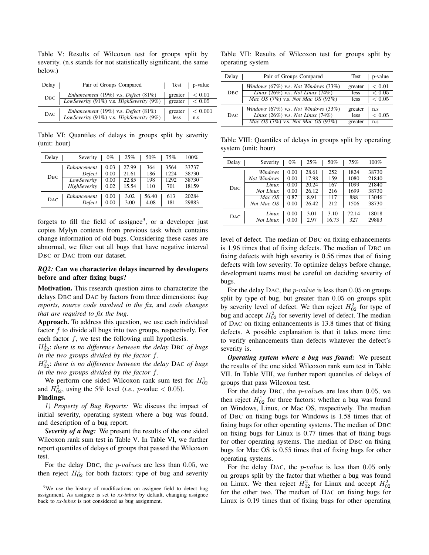Table V: Results of Wilcoxon test for groups split by severity. (n.s stands for not statistically significant, the same below.)

| Delay          | Pair of Groups Compared                                                         |                                                 | Test   p-value |
|----------------|---------------------------------------------------------------------------------|-------------------------------------------------|----------------|
| $\text{DBC}$ – | Enhancement (19%) v.s. Defect (81%)<br>LowSeverity (91%) v.s. HighSeverity (9%) | greater<br>greater $ $ $ $ $ $ $ $ $ $ $ $ 0.05 | < 0.01         |
| DAC            | Enhancement (19%) v.s. Defect (81%)<br>LowSeverity (91%) v.s. HighSeverity (9%) | greater<br>less                                 | < 0.001<br>n.s |

Table VI: Quantiles of delays in groups split by severity (unit: hour)

| Delay | Severity     | $0\%$ | 25%   | 50%   | 75%  | $100\%$ |
|-------|--------------|-------|-------|-------|------|---------|
| DBC   | Enhancement  | 0.03  | 27.99 | 364   | 3564 | 33737   |
|       | Defect       | 0.00  | 21.61 | 186   | 1224 | 38730   |
|       | LowSeverity  | 0.00  | 22.85 | 198   | 1292 | 38730   |
|       | HighSeverity | 0.02  | 15.54 | 110   | 701  | 18159   |
| DAC   | Enhancement  | 0.00  | 3.02  | 56.40 | 613  | 20284   |
|       | Defect       | 0.00  | 3.00  | 4.08  | 181  | 29883   |

forgets to fill the field of assignee<sup>9</sup>, or a developer just copies Mylyn contexts from previous task which contains change information of old bugs. Considering these cases are abnormal, we filter out all bugs that have negative interval DBC or DAC from our dataset.

# *RQ2:* Can we characterize delays incurred by developers before and after fixing bugs?

Motivation. This research question aims to characterize the delays DBC and DAC by factors from three dimensions: *bug reports*, *source code involved in the fix*, and *code changes that are required to fix the bug*.

Approach. To address this question, we use each individual factor  $f$  to divide all bugs into two groups, respectively. For each factor  $f$ , we test the following null hypothesis.

H<sup>1</sup> <sup>02</sup>: *there is no difference between the delay* DBC *of bugs in the two groups divided by the factor* f*.*

H<sup>2</sup> <sup>02</sup>: *there is no difference between the delay* DAC *of bugs in the two groups divided by the factor* f*.*

We perform one sided Wilcoxon rank sum test for  $H_{02}^1$ and  $H_{02}^2$ , using the 5% level (*i.e.*, *p*-value < 0.05). Findings.

*1) Property of Bug Reports:* We discuss the impact of initial severity, operating system where a bug was found, and description of a bug report.

*Severity of a bug:* We present the results of the one sided Wilcoxon rank sum test in Table V. In Table VI, we further report quantiles of delays of groups that passed the Wilcoxon test.

For the delay DBC, the p-values are less than 0.05, we then reject  $H_{02}^1$  for both factors: type of bug and severity

Table VII: Results of Wilcoxon test for groups split by operating system

| Delay | Pair of Groups Compared                             | Test        | p-value    |
|-------|-----------------------------------------------------|-------------|------------|
|       | Windows $(67\%)$ v.s. Not Windows $(33\%)$          | greater     | ${}< 0.01$ |
| DBC.  | Linux $(26\%)$ v.s. Not Linux $(74\%)$              | <i>less</i> | < 0.05     |
|       | <i>Mac OS</i> $(7%)$ v.s. <i>Not Mac OS</i> $(93%)$ | less        | < 0.05     |
|       | Windows (67%) v.s. Not Windows (33%)                | greater     | n.s        |
| DAC.  | Linux $(26\%)$ v.s. Not Linux $(74\%)$              | <i>less</i> | ${}< 0.05$ |
|       | <i>Mac OS</i> $(7%)$ v.s. <i>Not Mac OS</i> $(93%)$ | greater     | n.s        |

Table VIII: Quantiles of delays in groups split by operating system (unit: hour)

| Delay | Severity                   | $0\%$ | 25%   | 50%   | 75%   | 100%  |
|-------|----------------------------|-------|-------|-------|-------|-------|
|       | Windows                    | 0.00  | 28.61 | 252   | 1824  | 38730 |
|       | Not Windows                | 0.00  | 17.98 | 159   | 1080  | 21840 |
| DBC.  | $\overline{L}$ <i>inux</i> | 0.00  | 20.24 | 167   | 1099  | 21840 |
|       | Not Linux                  | 0.00  | 26.12 | 216   | 1699  | 38730 |
|       | Mac OS                     | 0.87  | 8.91  | 117   | 888   | 13046 |
|       | Not Mac OS                 | 0.00  | 26.42 | 212   | 1506  | 38730 |
| DAC.  | Linux                      | 0.00  | 3.01  | 3.10  | 72.14 | 18018 |
|       | Not Linux                  | 0.00  | 2.97  | 16.73 | 327   | 29883 |

level of defect. The median of DBC on fixing enhancements is 1.96 times that of fixing defects. The median of DBC on fixing defects with high severity is 0.56 times that of fixing defects with low severity. To optimize delays before change, development teams must be careful on deciding severity of bugs.

For the delay DAC, the *p-value* is less than 0.05 on groups split by type of bug, but greater than 0.05 on groups split by severity level of defect. We then reject  $H_{02}^2$  for type of bug and accept  $H_{02}^2$  for severity level of defect. The median of DAC on fixing enhancements is 13.8 times that of fixing defects. A possible explanation is that it takes more time to verify enhancements than defects whatever the defect's severity is.

*Operating system where a bug was found:* We present the results of the one sided Wilcoxon rank sum test in Table VII. In Table VIII, we further report quantiles of delays of groups that pass Wilcoxon test.

For the delay DBC, the p-values are less than 0.05, we then reject  $H_{02}^1$  for three factors: whether a bug was found on Windows, Linux, or Mac OS, respectively. The median of DBC on fixing bugs for Windows is 1.58 times that of fixing bugs for other operating systems. The median of DBC on fixing bugs for Linux is 0.77 times that of fixing bugs for other operating systems. The median of DBC on fixing bugs for Mac OS is 0.55 times that of fixing bugs for other operating systems.

For the delay DAC, the p-value is less than 0.05 only on groups split by the factor that whether a bug was found on Linux. We then reject  $H_{02}^2$  for Linux and accept  $H_{02}^2$ for the other two. The median of DAC on fixing bugs for Linux is 0.19 times that of fixing bugs for other operating

<sup>&</sup>lt;sup>9</sup>We use the history of modifications on assignee field to detect bug assignment. As assignee is set to *xx-inbox* by default, changing assignee back to *xx-inbox* is not considered as bug assignment.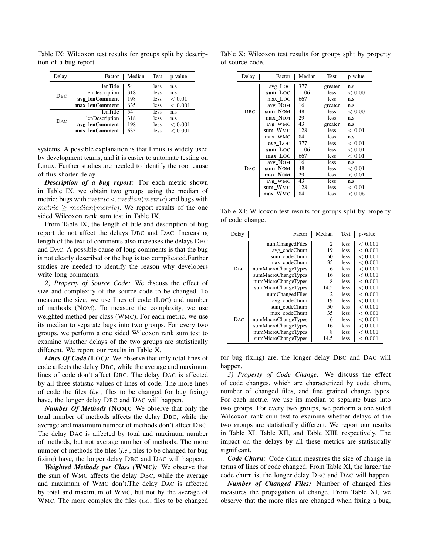| Delay | Factor         | Median | Test        | p-value       |
|-------|----------------|--------|-------------|---------------|
|       | lenTitle       | 54     | less        | n.s           |
| DBC   | lenDescription | 318    | less        | n.s           |
|       | avg_lenComment | 198    | <i>less</i> | ${}_{< 0.01}$ |
|       | max lenComment | 635    | less        | < 0.001       |
|       | lenTitle       | 54     | less        | n.s           |
| DAC.  | lenDescription | 318    | less        | n.s           |
|       | avg_lenComment | 198    | <i>less</i> | < 0.001       |
|       | max lenComment | 635    | less        | < 0.001       |

Table IX: Wilcoxon test results for groups split by description of a bug report.

systems. A possible explanation is that Linux is widely used by development teams, and it is easier to automate testing on Linux. Further studies are needed to identify the root cause of this shorter delay.

*Description of a bug report:* For each metric shown in Table IX, we obtain two groups using the median of metric: bugs with  $metric < median(metric)$  and bugs with  $metric \ge median(metric)$ . We report results of the one sided Wilcoxon rank sum test in Table IX.

From Table IX, the length of title and description of bug report do not affect the delays DBC and DAC. Increasing length of the text of comments also increases the delays DBC and DAC. A possible cause of long comments is that the bug is not clearly described or the bug is too complicated.Further studies are needed to identify the reason why developers write long comments.

*2) Property of Source Code:* We discuss the effect of size and complexity of the source code to be changed. To measure the size, we use lines of code (LOC) and number of methods (NOM). To measure the complexity, we use weighted method per class (WMC). For each metric, we use its median to separate bugs into two groups. For every two groups, we perform a one sided Wilcoxon rank sum test to examine whether delays of the two groups are statistically different. We report our results in Table X.

*Lines Of Code* (LOC): We observe that only total lines of code affects the delay DBC, while the average and maximum lines of code don't affect DBC. The delay DAC is affected by all three statistic values of lines of code. The more lines of code the files (*i.e.*, files to be changed for bug fixing) have, the longer delay DBC and DAC will happen.

*Number Of Methods (*NOM*):* We observe that only the total number of methods affects the delay DBC, while the average and maximum number of methods don't affect DBC. The delay DAC is affected by total and maximum number of methods, but not average number of methods. The more number of methods the files (*i.e.*, files to be changed for bug fixing) have, the longer delay DBC and DAC will happen.

*Weighted Methods per Class (*WMC*):* We observe that the sum of WMC affects the delay DBC, while the average and maximum of WMC don't.The delay DAC is affected by total and maximum of WMC, but not by the average of WMC. The more complex the files (*i.e.*, files to be changed

Table X: Wilcoxon test results for groups split by property of source code.

| Delay | Factor     | Median | <b>Test</b> | p-value       |
|-------|------------|--------|-------------|---------------|
|       | avg_LOC    | 377    | greater     | n.s           |
|       | sum Loc    | 1106   | <i>less</i> | < 0.001       |
|       | max Loc    | 667    | <b>less</b> | n.s           |
|       | avg NOM    | 16     | greater     | n.s           |
| DBC   | sum NOM    | 48     | less        | < 0.001       |
|       | max_NOM    | 29     | less        | n.s           |
|       | $avg_WMC$  | 43     | greater     | n.s           |
|       | sum WMC    | 128    | <b>less</b> | < 0.01        |
|       | max WMC    | 84     | less        | n.s           |
|       | $avg\_LOC$ | 377    | less        | ${}_{< 0.01}$ |
|       | sum Loc    | 1106   | <b>less</b> | < 0.01        |
|       | max_LOC    | 667    | <b>less</b> | < 0.01        |
|       | avg NOM    | 16     | <b>less</b> | n.s           |
| DAC.  | sum_NOM    | 48     | less        | < 0.01        |
|       | max NOM    | 29     | less        | < 0.01        |
|       | avg_WMC    | 43     | less        | n.s           |
|       | sum WMC    | 128    | less        | ${}< 0.01$    |
|       | max_WMC    | 84     | less        | ${}< 0.05$    |

Table XI: Wilcoxon test results for groups split by property of code change.

| Delay | Factor              | Median         | Test        | p-value |
|-------|---------------------|----------------|-------------|---------|
|       | numChangedFiles     | 2              | less        | < 0.001 |
|       | avg_codeChurn       | 19             | less        | < 0.001 |
|       | sum codeChurn       | 50             | less        | < 0.001 |
|       | max codeChurn       | 35             | less        | < 0.001 |
| DbC.  | numMacroChangeTypes | 6              | less        | < 0.001 |
|       | sumMacroChangeTypes | 16             | <b>less</b> | < 0.001 |
|       | numMicroChangeTypes | 8              | <b>less</b> | < 0.001 |
|       | sumMicroChangeTypes | 14.5           | less        | < 0.001 |
|       | numChangedFiles     | $\overline{c}$ | <b>less</b> | < 0.001 |
|       | avg_codeChurn       | 19             | <b>less</b> | < 0.001 |
|       | sum codeChurn       | 50             | <b>less</b> | < 0.001 |
|       | max codeChurn       | 35             | <b>less</b> | < 0.001 |
| DAC.  | numMacroChangeTypes | 6              | <b>less</b> | < 0.001 |
|       | sumMacroChangeTypes | 16             | <b>less</b> | < 0.001 |
|       | numMicroChangeTypes | 8              | <b>less</b> | < 0.001 |
|       | sumMicroChangeTypes | 14.5           | less        | < 0.001 |

for bug fixing) are, the longer delay DBC and DAC will happen.

*3) Property of Code Change:* We discuss the effect of code changes, which are characterized by code churn, number of changed files, and fine grained change types. For each metric, we use its median to separate bugs into two groups. For every two groups, we perform a one sided Wilcoxon rank sum test to examine whether delays of the two groups are statistically different. We report our results in Table XI, Table XII, and Table XIII, respectively. The impact on the delays by all these metrics are statistically significant.

*Code Churn:* Code churn measures the size of change in terms of lines of code changed. From Table XI, the larger the code churn is, the longer delay DBC and DAC will happen.

*Number of Changed Files:* Number of changed files measures the propagation of change. From Table XI, we observe that the more files are changed when fixing a bug,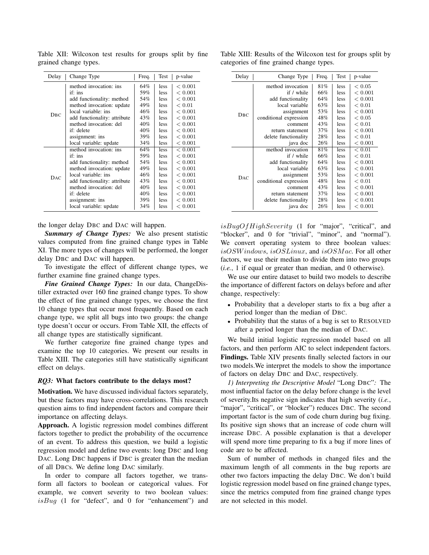| Delay           | Change Type                  | Freq. | Test        | p-value       |
|-----------------|------------------------------|-------|-------------|---------------|
|                 | method invocation: ins       | 64%   | <i>less</i> | ${}< 0.001$   |
|                 | if: ins                      | 59%   | <i>less</i> | < 0.001       |
|                 | add functionality: method    | 54%   | <i>less</i> | < 0.001       |
|                 | method invocation: update    | 49%   | less.       | ${}_{< 0.01}$ |
| DBC             | local variable: ins          | 46%   | less.       | < 0.001       |
|                 | add functionality: attribute | 43%   | <i>less</i> | < 0.001       |
|                 | method invocation: del       | 40%   | less.       | < 0.001       |
|                 | if: delete                   | 40%   | less        | < 0.001       |
|                 | assignment: ins              | 39%   | <i>less</i> | < 0.001       |
|                 | local variable: update       | 34%   | <i>less</i> | < 0.001       |
|                 | method invocation: ins       | 64%   | <i>less</i> | < 0.001       |
|                 | if: ins                      | 59%   | <i>less</i> | < 0.001       |
|                 | add functionality: method    | 54%   | <i>less</i> | < 0.001       |
|                 | method invocation: update    | 49%   | <i>less</i> | < 0.001       |
| D <sub>AC</sub> | local variable: ins          | 46%   | <i>less</i> | < 0.001       |
|                 | add functionality: attribute | 43%   | <i>less</i> | < 0.001       |
|                 | method invocation: del       | 40%   | <i>less</i> | < 0.001       |
|                 | if: delete                   | 40%   | less.       | < 0.001       |
|                 | assignment: ins              | 39%   | <i>less</i> | < 0.001       |
|                 | local variable: update       | 34%   | less        | < 0.001       |

Table XII: Wilcoxon test results for groups split by fine grained change types.

the longer delay DBC and DAC will happen.

*Summary of Change Types:* We also present statistic values computed from fine grained change types in Table XI. The more types of changes will be performed, the longer delay DBC and DAC will happen.

To investigate the effect of different change types, we further examine fine grained change types.

*Fine Grained Change Types:* In our data, ChangeDistiller extracted over 160 fine grained change types. To show the effect of fine grained change types, we choose the first 10 change types that occur most frequently. Based on each change type, we split all bugs into two groups: the change type doesn't occur or occurs. From Table XII, the effects of all change types are statistically significant.

We further categorize fine grained change types and examine the top 10 categories. We present our results in Table XIII. The categories still have statistically significant effect on delays.

### *RQ3:* What factors contribute to the delays most?

Motivation. We have discussed individual factors separately, but these factors may have cross-correlations. This research question aims to find independent factors and compare their importance on affecting delays.

Approach. A logistic regression model combines different factors together to predict the probability of the occurrence of an event. To address this question, we build a logistic regression model and define two events: long DBC and long DAC. Long DBC happens if DBC is greater than the median of all DBCs. We define long DAC similarly.

In order to compare all factors together, we transform all factors to boolean or categorical values. For example, we convert severity to two boolean values:  $isBug$  (1 for "defect", and 0 for "enhancement") and

Table XIII: Results of the Wilcoxon test for groups split by categories of fine grained change types.

| Delay           | Change Type            | Freq. | Test | p-value     |
|-----------------|------------------------|-------|------|-------------|
|                 | method invocation      | 81%   | less | ${}< 0.05$  |
|                 | if / while             | 66%   | less | < 0.001     |
|                 | add functionality      | 64%   | less | < 0.001     |
|                 | local variable         | 63%   | less | < 0.01      |
| DBC.            | assignment             | 53%   | less | ${}< 0.001$ |
|                 | conditional expression | 48%   | less | ${}< 0.05$  |
|                 | comment                | 43%   | less | < 0.01      |
|                 | return statement       | 37%   | less | ${}< 0.001$ |
|                 | delete functionality   | 28%   | less | < 0.01      |
|                 | java doc               | 26%   | less | < 0.001     |
|                 | method invocation      | 81%   | less | ${}< 0.01$  |
|                 | if / while             | 66%   | less | < 0.01      |
|                 | add functionality      | 64%   | less | ${}< 0.001$ |
|                 | local variable         | 63%   | less | ${}< 0.001$ |
| D <sub>AC</sub> | assignment             | 53%   | less | ${}< 0.001$ |
|                 | conditional expression | 48%   | less | ${}< 0.01$  |
|                 | comment                | 43%   | less | ${}< 0.001$ |
|                 | return statement       | 37%   | less | ${}< 0.001$ |
|                 | delete functionality   | 28%   | less | < 0.001     |
|                 | java doc               | 26%   | less | < 0.001     |

 $is BugOfHighSecurity$  (1 for "major", "critical", and "blocker", and 0 for "trivial", "minor", and "normal"). We convert operating system to three boolean values: isOSWindows, isOSLinux, and isOSMac. For all other factors, we use their median to divide them into two groups (*i.e.*, 1 if equal or greater than median, and 0 otherwise).

We use our entire dataset to build two models to describe the importance of different factors on delays before and after change, respectively:

- Probability that a developer starts to fix a bug after a period longer than the median of DBC.
- Probability that the status of a bug is set to RESOLVED after a period longer than the median of DAC.

We build initial logistic regression model based on all factors, and then perform AIC to select independent factors. Findings. Table XIV presents finally selected factors in our two models.We interpret the models to show the importance of factors on delay DBC and DAC, respectively.

*1) Interpreting the Descriptive Model* "Long DBC"*:* The most influential factor on the delay before change is the level of severity.Its negative sign indicates that high severity (*i.e.*, "major", "critical", or "blocker") reduces DBC. The second important factor is the sum of code churn during bug fixing. Its positive sign shows that an increase of code churn will increase DBC. A possible explanation is that a developer will spend more time preparing to fix a bug if more lines of code are to be affected.

Sum of number of methods in changed files and the maximum length of all comments in the bug reports are other two factors impacting the delay DBC. We don't build logistic regression model based on fine grained change types, since the metrics computed from fine grained change types are not selected in this model.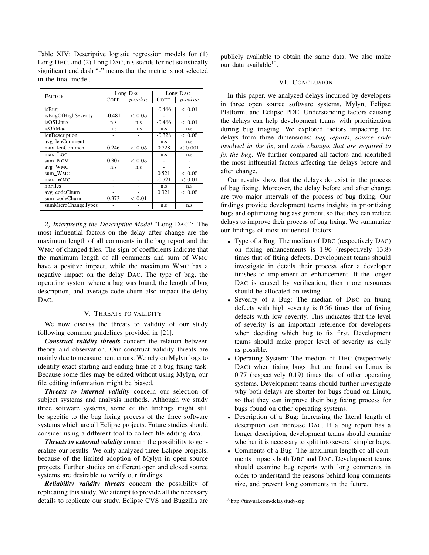Table XIV: Descriptive logistic regression models for (1) Long DBC, and (2) Long DAC; n.s stands for not statistically significant and dash "-" means that the metric is not selected in the final model.

| <b>FACTOR</b>       | Long D <sub>BC</sub> |                   | Long D <sub>AC</sub> |               |
|---------------------|----------------------|-------------------|----------------------|---------------|
|                     | COEF.                | $p-value$         | COEF.                | $p-value$     |
| isBug               |                      |                   | $-0.466$             | ${}< 0.01$    |
| isBugOfHighSeverity | $-0.481$             | ${}< 0.05$        |                      |               |
| isOSLinux           | n.s                  | n.s               | $-0.466$             | ${}< 0.01$    |
| isOSMac             | n.s                  | n.s               | n.s                  | n.s           |
| lenDescription      |                      |                   | $-0.328$             | ${}_{< 0.05}$ |
| avg lenComment      |                      |                   | n.s                  | n.s           |
| max lenComment      | 0.246                | ${}_{\rm < 0.05}$ | 0.728                | < 0.001       |
| max Loc             |                      |                   | n.s                  | n.s           |
| sum NOM             | 0.307                | ${}< 0.05$        |                      |               |
| avg_WMC             | n.s                  | n.s               |                      |               |
| sum WMC             |                      |                   | 0.521                | ${}< 0.05$    |
| max WMC             |                      |                   | $-0.721$             | < 0.01        |
| nbFiles             |                      |                   | n.s                  | n.s           |
| avg_codeChurn       |                      |                   | 0.321                | ${}< 0.05$    |
| sum codeChurn       | 0.373                | ${}< 0.01$        |                      |               |
| sumMicroChangeTypes |                      |                   | n.s                  | n.s           |

*2) Interpreting the Descriptive Model* "Long DAC"*:* The most influential factors on the delay after change are the maximum length of all comments in the bug report and the WMC of changed files. The sign of coefficients indicate that the maximum length of all comments and sum of WMC have a positive impact, while the maximum WMC has a negative impact on the delay DAC. The type of bug, the operating system where a bug was found, the length of bug description, and average code churn also impact the delay D<sub>AC</sub>.

### V. THREATS TO VALIDITY

We now discuss the threats to validity of our study following common guidelines provided in [21].

*Construct validity threats* concern the relation between theory and observation. Our construct validity threats are mainly due to measurement errors. We rely on Mylyn logs to identify exact starting and ending time of a bug fixing task. Because some files may be edited without using Mylyn, our file editing information might be biased.

*Threats to internal validity* concern our selection of subject systems and analysis methods. Although we study three software systems, some of the findings might still be specific to the bug fixing process of the three software systems which are all Eclipse projects. Future studies should consider using a different tool to collect file editing data.

*Threats to external validity* concern the possibility to generalize our results. We only analyzed three Eclipse projects, because of the limited adoption of Mylyn in open source projects. Further studies on different open and closed source systems are desirable to verify our findings.

*Reliability validity threats* concern the possibility of replicating this study. We attempt to provide all the necessary details to replicate our study. Eclipse CVS and Bugzilla are publicly available to obtain the same data. We also make our data available<sup>10</sup>.

#### VI. CONCLUSION

In this paper, we analyzed delays incurred by developers in three open source software systems, Mylyn, Eclipse Platform, and Eclipse PDE. Understanding factors causing the delays can help development teams with prioritization during bug triaging. We explored factors impacting the delays from three dimensions: *bug reports*, *source code involved in the fix*, and *code changes that are required to fix the bug*. We further compared all factors and identified the most influential factors affecting the delays before and after change.

Our results show that the delays do exist in the process of bug fixing. Moreover, the delay before and after change are two major intervals of the process of bug fixing. Our findings provide development teams insights in prioritizing bugs and optimizing bug assignment, so that they can reduce delays to improve their process of bug fixing. We summarize our findings of most influential factors:

- Type of a Bug: The median of DBC (respectively DAC) on fixing enhancements is 1.96 (respectively 13.8) times that of fixing defects. Development teams should investigate in details their process after a developer finishes to implement an enhancement. If the longer DAC is caused by verification, then more resources should be allocated on testing.
- Severity of a Bug: The median of DBC on fixing defects with high severity is 0.56 times that of fixing defects with low severity. This indicates that the level of severity is an important reference for developers when deciding which bug to fix first. Development teams should make proper level of severity as early as possible.
- Operating System: The median of DBC (respectively DAC) when fixing bugs that are found on Linux is 0.77 (respectively 0.19) times that of other operating systems. Development teams should further investigate why both delays are shorter for bugs found on Linux, so that they can improve their bug fixing process for bugs found on other operating systems.
- Description of a Bug: Increasing the literal length of description can increase DAC. If a bug report has a longer description, development teams should examine whether it is necessary to split into several simpler bugs.
- Comments of a Bug: The maximum length of all comments impacts both DBC and DAC. Development teams should examine bug reports with long comments in order to understand the reasons behind long comments size, and prevent long comments in the future.

<sup>10</sup>http://tinyurl.com/delaystudy-zip